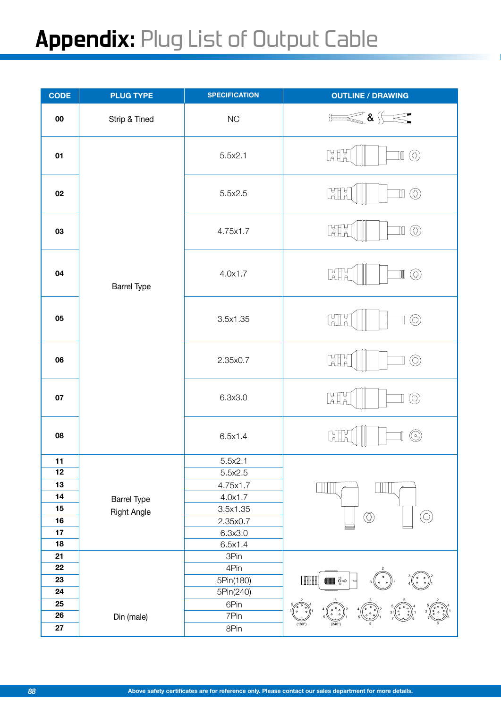## Appendix: Plug List of Output Cable

| <b>CODE</b> | <b>PLUG TYPE</b>   | <b>SPECIFICATION</b> | <b>OUTLINE / DRAWING</b>                                   |
|-------------|--------------------|----------------------|------------------------------------------------------------|
| ${\bf 00}$  | Strip & Tined      | NC                   | $\leqslant$ & $\leqslant$<br>$\frac{1}{\sqrt{1-\epsilon}}$ |
| 01          |                    | 5.5x2.1              | <b>LATH</b><br>$\mathbb{I}(\textcircled{})$                |
| 02          |                    | 5.5x2.5              | $\mathbb{C}$<br>$\circledcirc$<br>$\mathbb I$              |
| 03          |                    | 4.75x1.7             | <b>LETTE</b><br>$\mathbb{I}(\overline{\mathbb{O}})$        |
| 04          | <b>Barrel Type</b> | 4.0x1.7              | $\mathbb{H}^n$<br>$\mathbb{I}(\overline{\mathbb{O}})$      |
| 05          |                    | 3.5x1.35             | <b>Lille</b><br>$\circledcirc$                             |
| 06          |                    | 2.35x0.7             | $\mathbb{H}^4$<br>$\circledcirc$                           |
| 07          |                    | 6.3x3.0              | <b>LATH</b><br>$\circledcirc$                              |
| 08          |                    | 6.5x1.4              | Lalla<br>$\circledcirc$                                    |
| 11          |                    | 5.5x2.1              |                                                            |
| 12          |                    | 5.5x2.5              |                                                            |
| 13          |                    | 4.75x1.7             |                                                            |
| 14          | <b>Barrel Type</b> | 4.0x1.7              |                                                            |
| 15          | Right Angle        | 3.5x1.35             | $\bigcirc$<br>$\circledcirc$                               |
| 16          |                    | 2.35x0.7             |                                                            |
| 17<br>18    |                    | 6.3x3.0              |                                                            |
| 21          |                    | 6.5x1.4<br>3Pin      |                                                            |
| 22          |                    | 4Pin                 |                                                            |
| 23          |                    | 5Pin(180)            | <b>FILITEL</b><br><b>and</b> इंक                           |
| 24          |                    | 5Pin(240)            |                                                            |
| 25          |                    | 6Pin                 |                                                            |
| 26          | Din (male)         | 7Pin                 |                                                            |
| 27          |                    | 8Pin                 | $(180^\circ)$                                              |